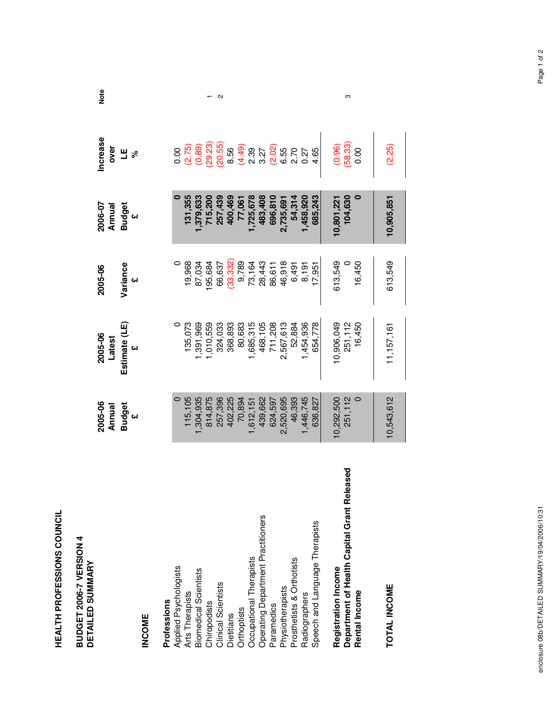| <b>BUDGET 2006-7 VERSION 4</b><br><b>DETAILED SUMMARY</b> |                   |                     |           |                    |                                              |      |
|-----------------------------------------------------------|-------------------|---------------------|-----------|--------------------|----------------------------------------------|------|
|                                                           | 2005-06<br>Annual | 2005-06<br>Latest   | 2005-06   | 2006-07<br>Annual  | Increase<br>over                             | Note |
|                                                           | <b>Budget</b>     | Estimate (LE)       | Variance  | <b>Budget</b><br>£ | Ш<br>್ನೇ                                     |      |
| <b>INCOME</b>                                             |                   |                     |           |                    |                                              |      |
| Professions                                               |                   |                     |           |                    |                                              |      |
| Applied Psychologists                                     |                   |                     |           |                    |                                              |      |
| Arts Therapists                                           | 115,105           | 135,073             | 19,968    | 131,355            | 0.00<br>(2.75)<br>(0.89)                     |      |
| Biomedical Scientists                                     | ,304,935          | ,391,969            | 87,034    | 1,379,633          |                                              |      |
| Chiropodists<br>Clinical Scientists                       | 814,875           | 1,010,559           | 195,684   | 715,200            | $(29.23)$<br>$(20.55)$                       |      |
|                                                           | 257,396           | 324,033             | 66,637    | 257,439            |                                              | Ν    |
| Dietitians                                                | 402,225           | 368,893             | (33, 332) | 400,469            | 8.56                                         |      |
| Orthoptists                                               | 70,894            | 80,683              | 9,789     | 77,061             | (4.49)                                       |      |
| Occupational Therapists                                   | 1,612,151         | 1,685,315           | 73,164    | 1,725,678          | $\frac{3}{2}$                                |      |
| Operating Department Practitioners                        | 439,662           | 468,105             | 28,443    | 483,408            |                                              |      |
| Paramedics                                                | 624,597           | 711,208             | 86,611    | 696,810            |                                              |      |
| Physiotherapists                                          | 2,520,695         | 2,567,613           | 46,918    | 2,735,691          |                                              |      |
| Prosthetists & Orthotists                                 | 46,393            | 52,884              | 6,491     | 54,314             | 3.27<br>3.09<br>3.55<br>3.27<br>3.00<br>3.00 |      |
| Radiographers                                             | 1,446,745         | 1,454,936           | 8,191     | ,458,920           |                                              |      |
| Speech and Language Therapists                            | 636,827           | 654,778             | 17,951    | 685,243            | 4.65                                         |      |
| <b>Registration Income</b>                                | 10,292,500        | 10,906,049          | 613,549   | 10,801,22          | (0.96)                                       |      |
| Department of Health Capital Grant Released               | 251,112           | 251, 112<br>16, 450 |           | 104,630            | (58.33)                                      | ო    |
| Rental Income                                             |                   |                     | 16,450    |                    | 0.00                                         |      |
|                                                           |                   |                     |           |                    |                                              |      |
| TOTAL INCOME                                              | 10,543,612        | 11, 157, 161        | 613,549   | 10,905,851         | (2.25)                                       |      |
|                                                           |                   |                     |           |                    |                                              |      |

**HEALTH PROFESSIONS COUNCIL**

HEALTH PROFESSIONS COUNCIL

enclosure 08b/DETAILED SUMMARY/19/04/2006/10:31 Page 1 of 2enclosure 08b/DETAILED SUMMARY/19/04/2006/10:31

Page 1 of 2